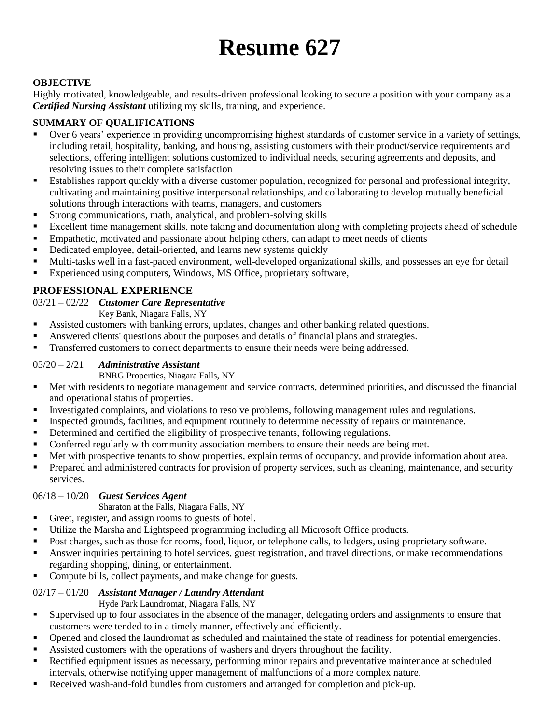# **Resume 627**

# **OBJECTIVE**

Highly motivated, knowledgeable, and results-driven professional looking to secure a position with your company as a *Certified Nursing Assistant* utilizing my skills, training, and experience.

# **SUMMARY OF QUALIFICATIONS**

- Over 6 years' experience in providing uncompromising highest standards of customer service in a variety of settings, including retail, hospitality, banking, and housing, assisting customers with their product/service requirements and selections, offering intelligent solutions customized to individual needs, securing agreements and deposits, and resolving issues to their complete satisfaction
- Establishes rapport quickly with a diverse customer population, recognized for personal and professional integrity, cultivating and maintaining positive interpersonal relationships, and collaborating to develop mutually beneficial solutions through interactions with teams, managers, and customers
- Strong communications, math, analytical, and problem-solving skills
- **Excellent time management skills, note taking and documentation along with completing projects ahead of schedule**
- **Empathetic, motivated and passionate about helping others, can adapt to meet needs of clients**
- Dedicated employee, detail-oriented, and learns new systems quickly
- Multi-tasks well in a fast-paced environment, well-developed organizational skills, and possesses an eye for detail
- Experienced using computers, Windows, MS Office, proprietary software,

# **PROFESSIONAL EXPERIENCE**

#### 03/21 – 02/22 *Customer Care Representative*

Key Bank, Niagara Falls, NY

- Assisted customers with banking errors, updates, changes and other banking related questions.
- Answered clients' questions about the purposes and details of financial plans and strategies.
- Transferred customers to correct departments to ensure their needs were being addressed.

### 05/20 – 2/21 *Administrative Assistant*

#### BNRG Properties, Niagara Falls, NY

- Met with residents to negotiate management and service contracts, determined priorities, and discussed the financial and operational status of properties.
- Investigated complaints, and violations to resolve problems, following management rules and regulations.
- **Inspected grounds, facilities, and equipment routinely to determine necessity of repairs or maintenance.**
- **•** Determined and certified the eligibility of prospective tenants, following regulations.
- Conferred regularly with community association members to ensure their needs are being met.
- Met with prospective tenants to show properties, explain terms of occupancy, and provide information about area.
- **Prepared and administered contracts for provision of property services, such as cleaning, maintenance, and security** services.

## 06/18 – 10/20 *Guest Services Agent*

Sharaton at the Falls, Niagara Falls, NY

- Greet, register, and assign rooms to guests of hotel.
- Utilize the Marsha and Lightspeed programming including all Microsoft Office products.
- Post charges, such as those for rooms, food, liquor, or telephone calls, to ledgers, using proprietary software.
- Answer inquiries pertaining to hotel services, guest registration, and travel directions, or make recommendations regarding shopping, dining, or entertainment.
- Compute bills, collect payments, and make change for guests.

## 02/17 – 01/20 *Assistant Manager / Laundry Attendant*

Hyde Park Laundromat, Niagara Falls, NY

- Supervised up to four associates in the absence of the manager, delegating orders and assignments to ensure that customers were tended to in a timely manner, effectively and efficiently.
- Opened and closed the laundromat as scheduled and maintained the state of readiness for potential emergencies.
- Assisted customers with the operations of washers and dryers throughout the facility.
- Rectified equipment issues as necessary, performing minor repairs and preventative maintenance at scheduled intervals, otherwise notifying upper management of malfunctions of a more complex nature.
- Received wash-and-fold bundles from customers and arranged for completion and pick-up.